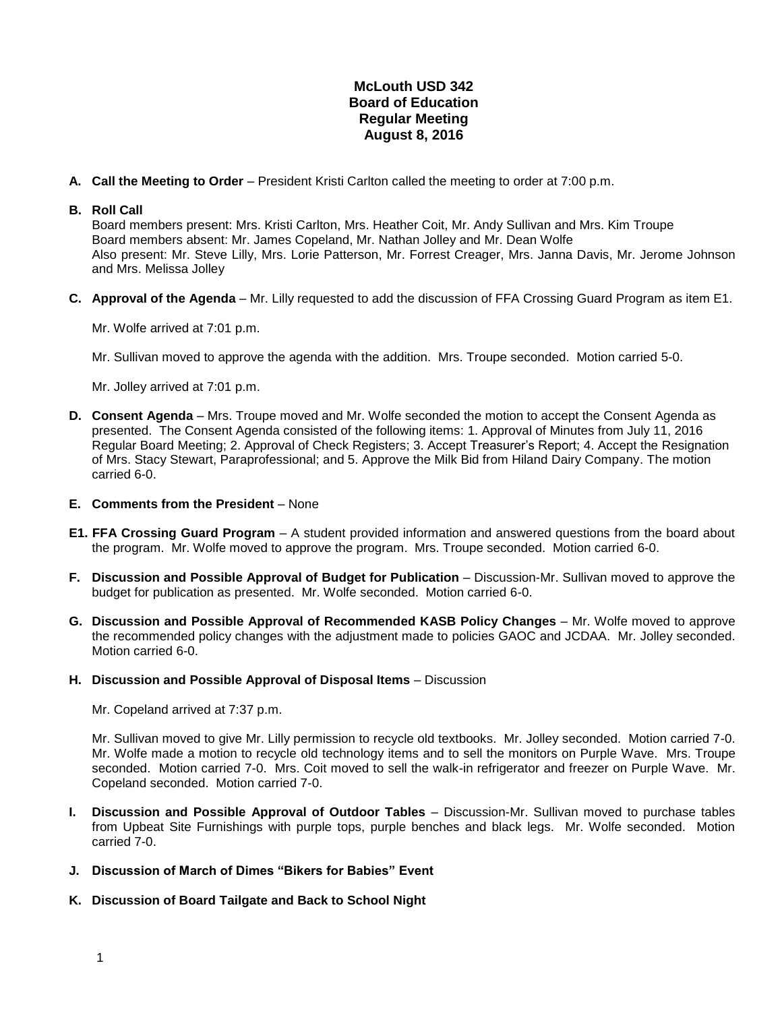## **McLouth USD 342 Board of Education Regular Meeting August 8, 2016**

**A. Call the Meeting to Order** – President Kristi Carlton called the meeting to order at 7:00 p.m.

## **B. Roll Call**

Board members present: Mrs. Kristi Carlton, Mrs. Heather Coit, Mr. Andy Sullivan and Mrs. Kim Troupe Board members absent: Mr. James Copeland, Mr. Nathan Jolley and Mr. Dean Wolfe Also present: Mr. Steve Lilly, Mrs. Lorie Patterson, Mr. Forrest Creager, Mrs. Janna Davis, Mr. Jerome Johnson and Mrs. Melissa Jolley

**C. Approval of the Agenda** – Mr. Lilly requested to add the discussion of FFA Crossing Guard Program as item E1.

Mr. Wolfe arrived at 7:01 p.m.

Mr. Sullivan moved to approve the agenda with the addition. Mrs. Troupe seconded. Motion carried 5-0.

Mr. Jolley arrived at 7:01 p.m.

- **D. Consent Agenda** Mrs. Troupe moved and Mr. Wolfe seconded the motion to accept the Consent Agenda as presented. The Consent Agenda consisted of the following items: 1. Approval of Minutes from July 11, 2016 Regular Board Meeting; 2. Approval of Check Registers; 3. Accept Treasurer's Report; 4. Accept the Resignation of Mrs. Stacy Stewart, Paraprofessional; and 5. Approve the Milk Bid from Hiland Dairy Company. The motion carried 6-0.
- **E. Comments from the President** None
- **E1. FFA Crossing Guard Program** A student provided information and answered questions from the board about the program. Mr. Wolfe moved to approve the program. Mrs. Troupe seconded. Motion carried 6-0.
- **F. Discussion and Possible Approval of Budget for Publication** Discussion-Mr. Sullivan moved to approve the budget for publication as presented. Mr. Wolfe seconded. Motion carried 6-0.
- **G. Discussion and Possible Approval of Recommended KASB Policy Changes**  Mr. Wolfe moved to approve the recommended policy changes with the adjustment made to policies GAOC and JCDAA. Mr. Jolley seconded. Motion carried 6-0.
- **H. Discussion and Possible Approval of Disposal Items** Discussion

Mr. Copeland arrived at 7:37 p.m.

Mr. Sullivan moved to give Mr. Lilly permission to recycle old textbooks. Mr. Jolley seconded. Motion carried 7-0. Mr. Wolfe made a motion to recycle old technology items and to sell the monitors on Purple Wave. Mrs. Troupe seconded. Motion carried 7-0. Mrs. Coit moved to sell the walk-in refrigerator and freezer on Purple Wave. Mr. Copeland seconded. Motion carried 7-0.

- **I. Discussion and Possible Approval of Outdoor Tables** Discussion-Mr. Sullivan moved to purchase tables from Upbeat Site Furnishings with purple tops, purple benches and black legs. Mr. Wolfe seconded. Motion carried 7-0.
- **J. Discussion of March of Dimes "Bikers for Babies" Event**
- **K. Discussion of Board Tailgate and Back to School Night**